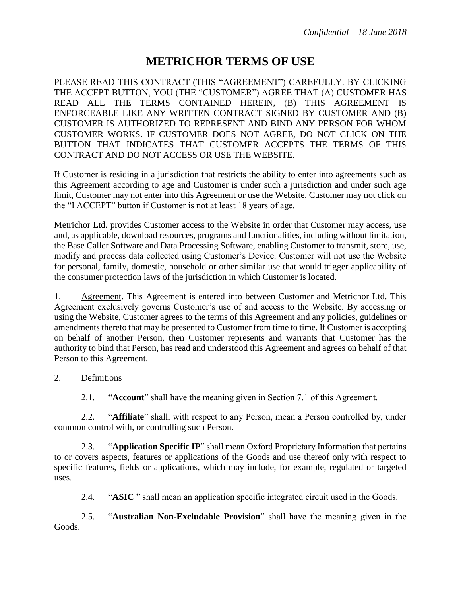# **METRICHOR TERMS OF USE**

PLEASE READ THIS CONTRACT (THIS "AGREEMENT") CAREFULLY. BY CLICKING THE ACCEPT BUTTON, YOU (THE "CUSTOMER") AGREE THAT (A) CUSTOMER HAS READ ALL THE TERMS CONTAINED HEREIN, (B) THIS AGREEMENT IS ENFORCEABLE LIKE ANY WRITTEN CONTRACT SIGNED BY CUSTOMER AND (B) CUSTOMER IS AUTHORIZED TO REPRESENT AND BIND ANY PERSON FOR WHOM CUSTOMER WORKS. IF CUSTOMER DOES NOT AGREE, DO NOT CLICK ON THE BUTTON THAT INDICATES THAT CUSTOMER ACCEPTS THE TERMS OF THIS CONTRACT AND DO NOT ACCESS OR USE THE WEBSITE.

If Customer is residing in a jurisdiction that restricts the ability to enter into agreements such as this Agreement according to age and Customer is under such a jurisdiction and under such age limit, Customer may not enter into this Agreement or use the Website. Customer may not click on the "I ACCEPT" button if Customer is not at least 18 years of age.

Metrichor Ltd. provides Customer access to the Website in order that Customer may access, use and, as applicable, download resources, programs and functionalities, including without limitation, the Base Caller Software and Data Processing Software, enabling Customer to transmit, store, use, modify and process data collected using Customer's Device. Customer will not use the Website for personal, family, domestic, household or other similar use that would trigger applicability of the consumer protection laws of the jurisdiction in which Customer is located.

1. Agreement. This Agreement is entered into between Customer and Metrichor Ltd. This Agreement exclusively governs Customer's use of and access to the Website. By accessing or using the Website, Customer agrees to the terms of this Agreement and any policies, guidelines or amendments thereto that may be presented to Customer from time to time. If Customer is accepting on behalf of another Person, then Customer represents and warrants that Customer has the authority to bind that Person, has read and understood this Agreement and agrees on behalf of that Person to this Agreement.

## 2. Definitions

2.1. "**Account**" shall have the meaning given in Section 7.1 of this Agreement.

2.2. "**Affiliate**" shall, with respect to any Person, mean a Person controlled by, under common control with, or controlling such Person.

2.3. "**Application Specific IP**" shall mean Oxford Proprietary Information that pertains to or covers aspects, features or applications of the Goods and use thereof only with respect to specific features, fields or applications, which may include, for example, regulated or targeted uses.

2.4. "**ASIC** " shall mean an application specific integrated circuit used in the Goods.

2.5. "**Australian Non-Excludable Provision**" shall have the meaning given in the Goods.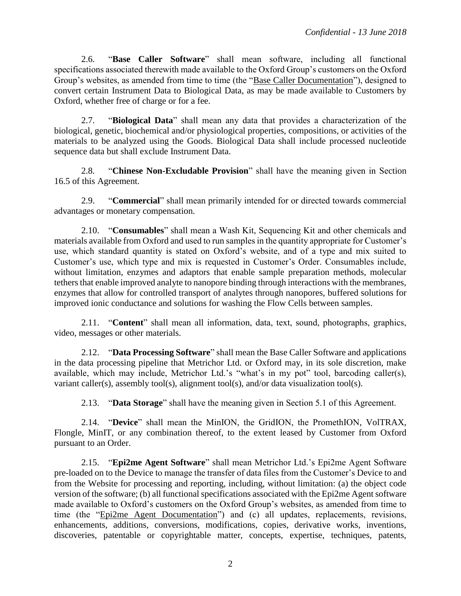2.6. "**Base Caller Software**" shall mean software, including all functional specifications associated therewith made available to the Oxford Group's customers on the Oxford Group's websites, as amended from time to time (the "Base Caller Documentation"), designed to convert certain Instrument Data to Biological Data, as may be made available to Customers by Oxford, whether free of charge or for a fee.

2.7. "**Biological Data**" shall mean any data that provides a characterization of the biological, genetic, biochemical and/or physiological properties, compositions, or activities of the materials to be analyzed using the Goods. Biological Data shall include processed nucleotide sequence data but shall exclude Instrument Data.

2.8. "**Chinese Non-Excludable Provision**" shall have the meaning given in Section 16.5 of this Agreement.

2.9. "**Commercial**" shall mean primarily intended for or directed towards commercial advantages or monetary compensation.

2.10. "**Consumables**" shall mean a Wash Kit, Sequencing Kit and other chemicals and materials available from Oxford and used to run samples in the quantity appropriate for Customer's use, which standard quantity is stated on Oxford's website, and of a type and mix suited to Customer's use, which type and mix is requested in Customer's Order. Consumables include, without limitation, enzymes and adaptors that enable sample preparation methods, molecular tethers that enable improved analyte to nanopore binding through interactions with the membranes, enzymes that allow for controlled transport of analytes through nanopores, buffered solutions for improved ionic conductance and solutions for washing the Flow Cells between samples.

2.11. "**Content**" shall mean all information, data, text, sound, photographs, graphics, video, messages or other materials.

2.12. "**Data Processing Software**" shall mean the Base Caller Software and applications in the data processing pipeline that Metrichor Ltd. or Oxford may, in its sole discretion, make available, which may include, Metrichor Ltd.'s "what's in my pot" tool, barcoding caller(s), variant caller(s), assembly tool(s), alignment tool(s), and/or data visualization tool(s).

2.13. "**Data Storage**" shall have the meaning given in Section 5.1 of this Agreement.

2.14. "**Device**" shall mean the MinION, the GridION, the PromethION, VolTRAX, Flongle, MinIT, or any combination thereof, to the extent leased by Customer from Oxford pursuant to an Order.

2.15. "**Epi2me Agent Software**" shall mean Metrichor Ltd.'s Epi2me Agent Software pre-loaded on to the Device to manage the transfer of data files from the Customer's Device to and from the Website for processing and reporting, including, without limitation: (a) the object code version of the software; (b) all functional specifications associated with the Epi2me Agent software made available to Oxford's customers on the Oxford Group's websites, as amended from time to time (the "Epi2me Agent Documentation") and (c) all updates, replacements, revisions, enhancements, additions, conversions, modifications, copies, derivative works, inventions, discoveries, patentable or copyrightable matter, concepts, expertise, techniques, patents,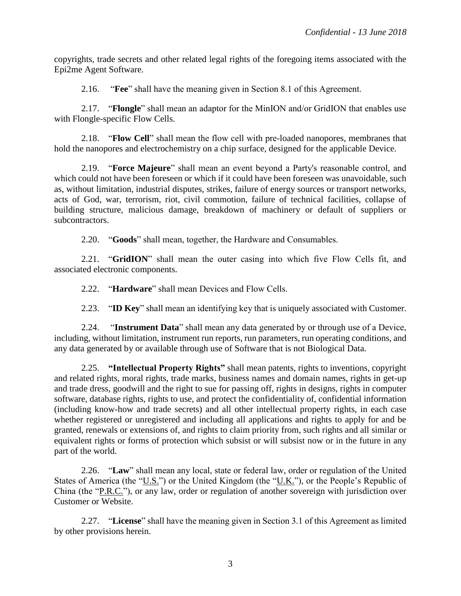copyrights, trade secrets and other related legal rights of the foregoing items associated with the Epi2me Agent Software.

2.16. "**Fee**" shall have the meaning given in Section 8.1 of this Agreement.

2.17. "**Flongle**" shall mean an adaptor for the MinION and/or GridION that enables use with Flongle-specific Flow Cells.

2.18. "**Flow Cell**" shall mean the flow cell with pre-loaded nanopores, membranes that hold the nanopores and electrochemistry on a chip surface, designed for the applicable Device.

2.19. "**Force Majeure**" shall mean an event beyond a Party's reasonable control, and which could not have been foreseen or which if it could have been foreseen was unavoidable, such as, without limitation, industrial disputes, strikes, failure of energy sources or transport networks, acts of God, war, terrorism, riot, civil commotion, failure of technical facilities, collapse of building structure, malicious damage, breakdown of machinery or default of suppliers or subcontractors.

2.20. "**Goods**" shall mean, together, the Hardware and Consumables.

2.21. "**GridION**" shall mean the outer casing into which five Flow Cells fit, and associated electronic components.

2.22. "**Hardware**" shall mean Devices and Flow Cells.

2.23. "**ID Key**" shall mean an identifying key that is uniquely associated with Customer.

2.24. "**Instrument Data**" shall mean any data generated by or through use of a Device, including, without limitation, instrument run reports, run parameters, run operating conditions, and any data generated by or available through use of Software that is not Biological Data.

2.25. **"Intellectual Property Rights"** shall mean patents, rights to inventions, copyright and related rights, moral rights, trade marks, business names and domain names, rights in get-up and trade dress, goodwill and the right to sue for passing off, rights in designs, rights in computer software, database rights, rights to use, and protect the confidentiality of, confidential information (including know-how and trade secrets) and all other intellectual property rights, in each case whether registered or unregistered and including all applications and rights to apply for and be granted, renewals or extensions of, and rights to claim priority from, such rights and all similar or equivalent rights or forms of protection which subsist or will subsist now or in the future in any part of the world.

2.26. "**Law**" shall mean any local, state or federal law, order or regulation of the United States of America (the " $U.S.'$ ) or the United Kingdom (the " $U.K.'$ "), or the People's Republic of China (the "P.R.C."), or any law, order or regulation of another sovereign with jurisdiction over Customer or Website.

2.27. "**License**" shall have the meaning given in Section 3.1 of this Agreement as limited by other provisions herein.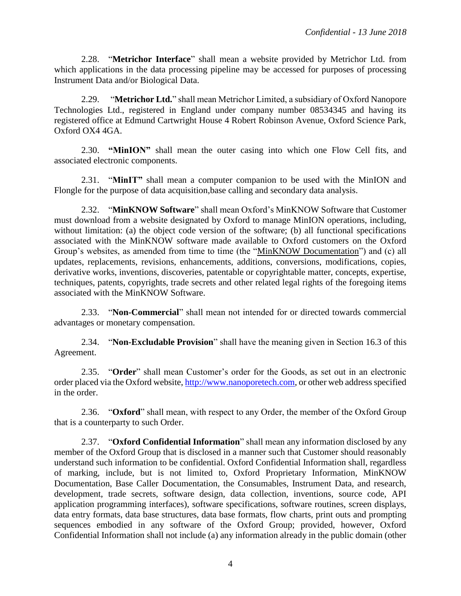2.28. "**Metrichor Interface**" shall mean a website provided by Metrichor Ltd. from which applications in the data processing pipeline may be accessed for purposes of processing Instrument Data and/or Biological Data.

2.29. "**Metrichor Ltd.**" shall mean Metrichor Limited, a subsidiary of Oxford Nanopore Technologies Ltd., registered in England under company number 08534345 and having its registered office at Edmund Cartwright House 4 Robert Robinson Avenue, Oxford Science Park, Oxford OX4 4GA.

2.30. **"MinION"** shall mean the outer casing into which one Flow Cell fits, and associated electronic components.

2.31. "**MinIT"** shall mean a computer companion to be used with the MinION and Flongle for the purpose of data acquisition,base calling and secondary data analysis.

2.32. "**MinKNOW Software**" shall mean Oxford's MinKNOW Software that Customer must download from a website designated by Oxford to manage MinION operations, including, without limitation: (a) the object code version of the software; (b) all functional specifications associated with the MinKNOW software made available to Oxford customers on the Oxford Group's websites, as amended from time to time (the "MinKNOW Documentation") and (c) all updates, replacements, revisions, enhancements, additions, conversions, modifications, copies, derivative works, inventions, discoveries, patentable or copyrightable matter, concepts, expertise, techniques, patents, copyrights, trade secrets and other related legal rights of the foregoing items associated with the MinKNOW Software.

2.33. "**Non-Commercial**" shall mean not intended for or directed towards commercial advantages or monetary compensation.

2.34. "**Non-Excludable Provision**" shall have the meaning given in Section 16.3 of this Agreement.

2.35. "**Order**" shall mean Customer's order for the Goods, as set out in an electronic order placed via the Oxford website, http://www.nanoporetech.com, or other web address specified in the order.

2.36. "**Oxford**" shall mean, with respect to any Order, the member of the Oxford Group that is a counterparty to such Order.

2.37. "**Oxford Confidential Information**" shall mean any information disclosed by any member of the Oxford Group that is disclosed in a manner such that Customer should reasonably understand such information to be confidential. Oxford Confidential Information shall, regardless of marking, include, but is not limited to, Oxford Proprietary Information, MinKNOW Documentation, Base Caller Documentation, the Consumables, Instrument Data, and research, development, trade secrets, software design, data collection, inventions, source code, API application programming interfaces), software specifications, software routines, screen displays, data entry formats, data base structures, data base formats, flow charts, print outs and prompting sequences embodied in any software of the Oxford Group; provided, however, Oxford Confidential Information shall not include (a) any information already in the public domain (other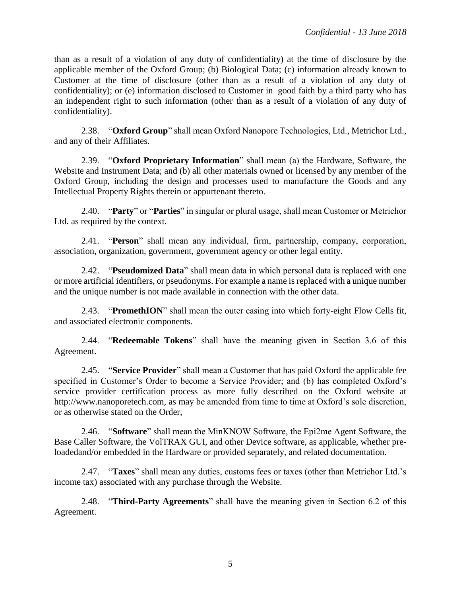than as a result of a violation of any duty of confidentiality) at the time of disclosure by the applicable member of the Oxford Group; (b) Biological Data; (c) information already known to Customer at the time of disclosure (other than as a result of a violation of any duty of confidentiality); or (e) information disclosed to Customer in good faith by a third party who has an independent right to such information (other than as a result of a violation of any duty of confidentiality).

2.38. "**Oxford Group**" shall mean Oxford Nanopore Technologies, Ltd., Metrichor Ltd., and any of their Affiliates.

2.39. "**Oxford Proprietary Information**" shall mean (a) the Hardware, Software, the Website and Instrument Data; and (b) all other materials owned or licensed by any member of the Oxford Group, including the design and processes used to manufacture the Goods and any Intellectual Property Rights therein or appurtenant thereto.

2.40. "**Party**" or "**Parties**" in singular or plural usage, shall mean Customer or Metrichor Ltd. as required by the context.

2.41. "**Person**" shall mean any individual, firm, partnership, company, corporation, association, organization, government, government agency or other legal entity.

2.42. "**Pseudomized Data**" shall mean data in which personal data is replaced with one or more artificial identifiers, or pseudonyms. For example a name is replaced with a unique number and the unique number is not made available in connection with the other data.

2.43. "**PromethION**" shall mean the outer casing into which forty-eight Flow Cells fit, and associated electronic components.

2.44. "**Redeemable Tokens**" shall have the meaning given in Section 3.6 of this Agreement.

2.45. "**Service Provider**" shall mean a Customer that has paid Oxford the applicable fee specified in Customer's Order to become a Service Provider; and (b) has completed Oxford's service provider certification process as more fully described on the Oxford website at http://www.nanoporetech.com, as may be amended from time to time at Oxford's sole discretion, or as otherwise stated on the Order,

2.46. "**Software**" shall mean the MinKNOW Software, the Epi2me Agent Software, the Base Caller Software, the VolTRAX GUI, and other Device software, as applicable, whether preloadedand/or embedded in the Hardware or provided separately, and related documentation.

2.47. "**Taxes**" shall mean any duties, customs fees or taxes (other than Metrichor Ltd.'s income tax) associated with any purchase through the Website.

2.48. "**Third-Party Agreements**" shall have the meaning given in Section 6.2 of this Agreement.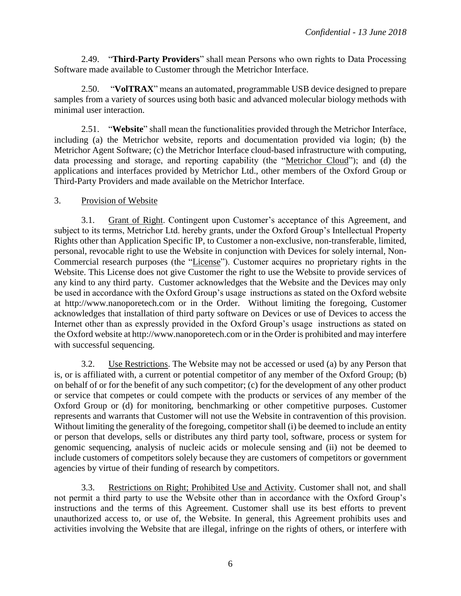2.49. "**Third-Party Providers**" shall mean Persons who own rights to Data Processing Software made available to Customer through the Metrichor Interface.

2.50. "**VolTRAX**" means an automated, programmable USB device designed to prepare samples from a variety of sources using both basic and advanced molecular biology methods with minimal user interaction.

2.51. "**Website**" shall mean the functionalities provided through the Metrichor Interface, including (a) the Metrichor website, reports and documentation provided via login; (b) the Metrichor Agent Software; (c) the Metrichor Interface cloud-based infrastructure with computing, data processing and storage, and reporting capability (the "Metrichor Cloud"); and (d) the applications and interfaces provided by Metrichor Ltd., other members of the Oxford Group or Third-Party Providers and made available on the Metrichor Interface.

## 3. Provision of Website

3.1. Grant of Right. Contingent upon Customer's acceptance of this Agreement, and subject to its terms, Metrichor Ltd. hereby grants, under the Oxford Group's Intellectual Property Rights other than Application Specific IP, to Customer a non-exclusive, non-transferable, limited, personal, revocable right to use the Website in conjunction with Devices for solely internal, Non-Commercial research purposes (the "License"). Customer acquires no proprietary rights in the Website. This License does not give Customer the right to use the Website to provide services of any kind to any third party. Customer acknowledges that the Website and the Devices may only be used in accordance with the Oxford Group's usage instructions as stated on the Oxford website at http://www.nanoporetech.com or in the Order. Without limiting the foregoing, Customer acknowledges that installation of third party software on Devices or use of Devices to access the Internet other than as expressly provided in the Oxford Group's usage instructions as stated on the Oxford website at http://www.nanoporetech.com or in the Order is prohibited and may interfere with successful sequencing.

3.2. Use Restrictions. The Website may not be accessed or used (a) by any Person that is, or is affiliated with, a current or potential competitor of any member of the Oxford Group; (b) on behalf of or for the benefit of any such competitor; (c) for the development of any other product or service that competes or could compete with the products or services of any member of the Oxford Group or (d) for monitoring, benchmarking or other competitive purposes. Customer represents and warrants that Customer will not use the Website in contravention of this provision. Without limiting the generality of the foregoing, competitor shall (i) be deemed to include an entity or person that develops, sells or distributes any third party tool, software, process or system for genomic sequencing, analysis of nucleic acids or molecule sensing and (ii) not be deemed to include customers of competitors solely because they are customers of competitors or government agencies by virtue of their funding of research by competitors.

3.3. Restrictions on Right; Prohibited Use and Activity. Customer shall not, and shall not permit a third party to use the Website other than in accordance with the Oxford Group's instructions and the terms of this Agreement. Customer shall use its best efforts to prevent unauthorized access to, or use of, the Website. In general, this Agreement prohibits uses and activities involving the Website that are illegal, infringe on the rights of others, or interfere with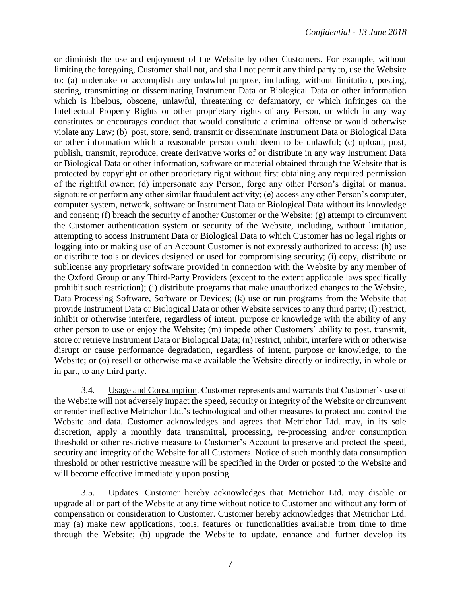or diminish the use and enjoyment of the Website by other Customers. For example, without limiting the foregoing, Customer shall not, and shall not permit any third party to, use the Website to: (a) undertake or accomplish any unlawful purpose, including, without limitation, posting, storing, transmitting or disseminating Instrument Data or Biological Data or other information which is libelous, obscene, unlawful, threatening or defamatory, or which infringes on the Intellectual Property Rights or other proprietary rights of any Person, or which in any way constitutes or encourages conduct that would constitute a criminal offense or would otherwise violate any Law; (b) post, store, send, transmit or disseminate Instrument Data or Biological Data or other information which a reasonable person could deem to be unlawful; (c) upload, post, publish, transmit, reproduce, create derivative works of or distribute in any way Instrument Data or Biological Data or other information, software or material obtained through the Website that is protected by copyright or other proprietary right without first obtaining any required permission of the rightful owner; (d) impersonate any Person, forge any other Person's digital or manual signature or perform any other similar fraudulent activity; (e) access any other Person's computer, computer system, network, software or Instrument Data or Biological Data without its knowledge and consent; (f) breach the security of another Customer or the Website; (g) attempt to circumvent the Customer authentication system or security of the Website, including, without limitation, attempting to access Instrument Data or Biological Data to which Customer has no legal rights or logging into or making use of an Account Customer is not expressly authorized to access; (h) use or distribute tools or devices designed or used for compromising security; (i) copy, distribute or sublicense any proprietary software provided in connection with the Website by any member of the Oxford Group or any Third-Party Providers (except to the extent applicable laws specifically prohibit such restriction); (j) distribute programs that make unauthorized changes to the Website, Data Processing Software, Software or Devices; (k) use or run programs from the Website that provide Instrument Data or Biological Data or other Website services to any third party; (l) restrict, inhibit or otherwise interfere, regardless of intent, purpose or knowledge with the ability of any other person to use or enjoy the Website; (m) impede other Customers' ability to post, transmit, store or retrieve Instrument Data or Biological Data; (n) restrict, inhibit, interfere with or otherwise disrupt or cause performance degradation, regardless of intent, purpose or knowledge, to the Website; or (o) resell or otherwise make available the Website directly or indirectly, in whole or in part, to any third party.

3.4. Usage and Consumption. Customer represents and warrants that Customer's use of the Website will not adversely impact the speed, security or integrity of the Website or circumvent or render ineffective Metrichor Ltd.'s technological and other measures to protect and control the Website and data. Customer acknowledges and agrees that Metrichor Ltd. may, in its sole discretion, apply a monthly data transmittal, processing, re-processing and/or consumption threshold or other restrictive measure to Customer's Account to preserve and protect the speed, security and integrity of the Website for all Customers. Notice of such monthly data consumption threshold or other restrictive measure will be specified in the Order or posted to the Website and will become effective immediately upon posting.

3.5. Updates. Customer hereby acknowledges that Metrichor Ltd. may disable or upgrade all or part of the Website at any time without notice to Customer and without any form of compensation or consideration to Customer. Customer hereby acknowledges that Metrichor Ltd. may (a) make new applications, tools, features or functionalities available from time to time through the Website; (b) upgrade the Website to update, enhance and further develop its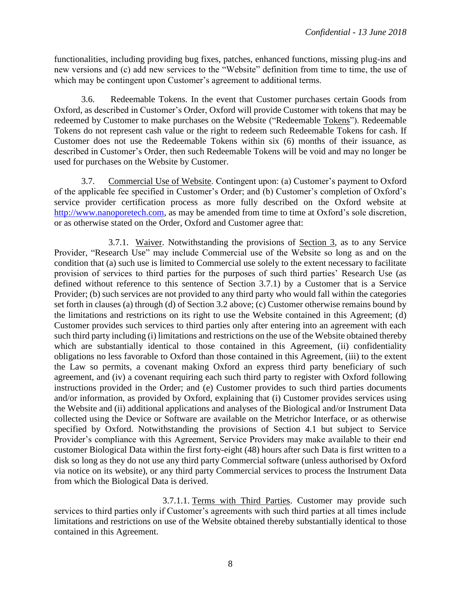functionalities, including providing bug fixes, patches, enhanced functions, missing plug-ins and new versions and (c) add new services to the "Website" definition from time to time, the use of which may be contingent upon Customer's agreement to additional terms.

3.6. Redeemable Tokens. In the event that Customer purchases certain Goods from Oxford, as described in Customer's Order, Oxford will provide Customer with tokens that may be redeemed by Customer to make purchases on the Website ("Redeemable Tokens"). Redeemable Tokens do not represent cash value or the right to redeem such Redeemable Tokens for cash. If Customer does not use the Redeemable Tokens within six (6) months of their issuance, as described in Customer's Order, then such Redeemable Tokens will be void and may no longer be used for purchases on the Website by Customer.

3.7. Commercial Use of Website. Contingent upon: (a) Customer's payment to Oxford of the applicable fee specified in Customer's Order; and (b) Customer's completion of Oxford's service provider certification process as more fully described on the Oxford website at http://www.nanoporetech.com, as may be amended from time to time at Oxford's sole discretion, or as otherwise stated on the Order, Oxford and Customer agree that:

3.7.1. Waiver. Notwithstanding the provisions of Section 3, as to any Service Provider, "Research Use" may include Commercial use of the Website so long as and on the condition that (a) such use is limited to Commercial use solely to the extent necessary to facilitate provision of services to third parties for the purposes of such third parties' Research Use (as defined without reference to this sentence of Section 3.7.1) by a Customer that is a Service Provider; (b) such services are not provided to any third party who would fall within the categories set forth in clauses (a) through (d) of Section 3.2 above; (c) Customer otherwise remains bound by the limitations and restrictions on its right to use the Website contained in this Agreement; (d) Customer provides such services to third parties only after entering into an agreement with each such third party including (i) limitations and restrictions on the use of the Website obtained thereby which are substantially identical to those contained in this Agreement, (ii) confidentiality obligations no less favorable to Oxford than those contained in this Agreement, (iii) to the extent the Law so permits, a covenant making Oxford an express third party beneficiary of such agreement, and (iv) a covenant requiring each such third party to register with Oxford following instructions provided in the Order; and (e) Customer provides to such third parties documents and/or information, as provided by Oxford, explaining that (i) Customer provides services using the Website and (ii) additional applications and analyses of the Biological and/or Instrument Data collected using the Device or Software are available on the Metrichor Interface, or as otherwise specified by Oxford. Notwithstanding the provisions of Section 4.1 but subject to Service Provider's compliance with this Agreement, Service Providers may make available to their end customer Biological Data within the first forty-eight (48) hours after such Data is first written to a disk so long as they do not use any third party Commercial software (unless authorised by Oxford via notice on its website), or any third party Commercial services to process the Instrument Data from which the Biological Data is derived.

3.7.1.1. Terms with Third Parties. Customer may provide such services to third parties only if Customer's agreements with such third parties at all times include limitations and restrictions on use of the Website obtained thereby substantially identical to those contained in this Agreement.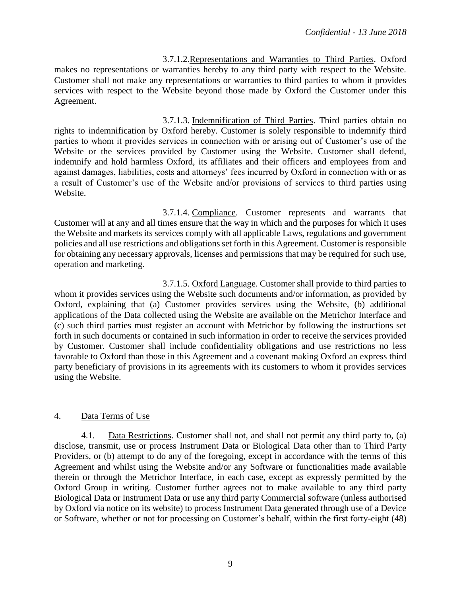3.7.1.2.Representations and Warranties to Third Parties. Oxford makes no representations or warranties hereby to any third party with respect to the Website. Customer shall not make any representations or warranties to third parties to whom it provides services with respect to the Website beyond those made by Oxford the Customer under this Agreement.

3.7.1.3. Indemnification of Third Parties. Third parties obtain no rights to indemnification by Oxford hereby. Customer is solely responsible to indemnify third parties to whom it provides services in connection with or arising out of Customer's use of the Website or the services provided by Customer using the Website. Customer shall defend, indemnify and hold harmless Oxford, its affiliates and their officers and employees from and against damages, liabilities, costs and attorneys' fees incurred by Oxford in connection with or as a result of Customer's use of the Website and/or provisions of services to third parties using Website.

3.7.1.4. Compliance. Customer represents and warrants that Customer will at any and all times ensure that the way in which and the purposes for which it uses the Website and markets its services comply with all applicable Laws, regulations and government policies and all use restrictions and obligations set forth in this Agreement. Customer is responsible for obtaining any necessary approvals, licenses and permissions that may be required for such use, operation and marketing.

3.7.1.5. Oxford Language. Customer shall provide to third parties to whom it provides services using the Website such documents and/or information, as provided by Oxford, explaining that (a) Customer provides services using the Website, (b) additional applications of the Data collected using the Website are available on the Metrichor Interface and (c) such third parties must register an account with Metrichor by following the instructions set forth in such documents or contained in such information in order to receive the services provided by Customer. Customer shall include confidentiality obligations and use restrictions no less favorable to Oxford than those in this Agreement and a covenant making Oxford an express third party beneficiary of provisions in its agreements with its customers to whom it provides services using the Website.

## 4. Data Terms of Use

4.1. Data Restrictions. Customer shall not, and shall not permit any third party to, (a) disclose, transmit, use or process Instrument Data or Biological Data other than to Third Party Providers, or (b) attempt to do any of the foregoing, except in accordance with the terms of this Agreement and whilst using the Website and/or any Software or functionalities made available therein or through the Metrichor Interface, in each case, except as expressly permitted by the Oxford Group in writing. Customer further agrees not to make available to any third party Biological Data or Instrument Data or use any third party Commercial software (unless authorised by Oxford via notice on its website) to process Instrument Data generated through use of a Device or Software, whether or not for processing on Customer's behalf, within the first forty-eight (48)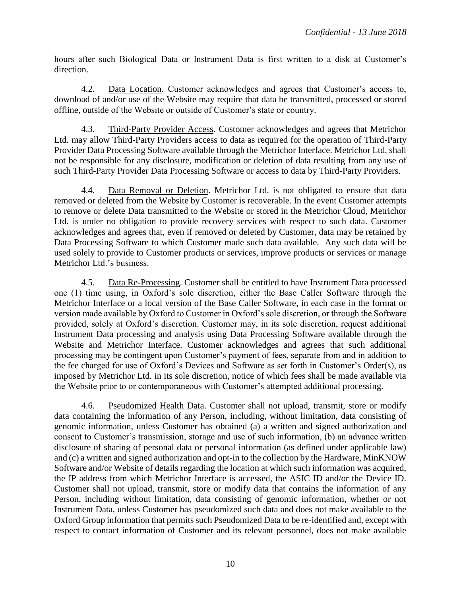hours after such Biological Data or Instrument Data is first written to a disk at Customer's direction.

4.2. Data Location. Customer acknowledges and agrees that Customer's access to, download of and/or use of the Website may require that data be transmitted, processed or stored offline, outside of the Website or outside of Customer's state or country.

4.3. Third-Party Provider Access. Customer acknowledges and agrees that Metrichor Ltd. may allow Third-Party Providers access to data as required for the operation of Third-Party Provider Data Processing Software available through the Metrichor Interface. Metrichor Ltd. shall not be responsible for any disclosure, modification or deletion of data resulting from any use of such Third-Party Provider Data Processing Software or access to data by Third-Party Providers.

4.4. Data Removal or Deletion. Metrichor Ltd. is not obligated to ensure that data removed or deleted from the Website by Customer is recoverable. In the event Customer attempts to remove or delete Data transmitted to the Website or stored in the Metrichor Cloud, Metrichor Ltd. is under no obligation to provide recovery services with respect to such data. Customer acknowledges and agrees that, even if removed or deleted by Customer, data may be retained by Data Processing Software to which Customer made such data available. Any such data will be used solely to provide to Customer products or services, improve products or services or manage Metrichor Ltd.'s business.

4.5. Data Re-Processing. Customer shall be entitled to have Instrument Data processed one (1) time using, in Oxford's sole discretion, either the Base Caller Software through the Metrichor Interface or a local version of the Base Caller Software, in each case in the format or version made available by Oxford to Customer in Oxford's sole discretion, or through the Software provided, solely at Oxford's discretion. Customer may, in its sole discretion, request additional Instrument Data processing and analysis using Data Processing Software available through the Website and Metrichor Interface. Customer acknowledges and agrees that such additional processing may be contingent upon Customer's payment of fees, separate from and in addition to the fee charged for use of Oxford's Devices and Software as set forth in Customer's Order(s), as imposed by Metrichor Ltd. in its sole discretion, notice of which fees shall be made available via the Website prior to or contemporaneous with Customer's attempted additional processing.

4.6. Pseudomized Health Data. Customer shall not upload, transmit, store or modify data containing the information of any Person, including, without limitation, data consisting of genomic information, unless Customer has obtained (a) a written and signed authorization and consent to Customer's transmission, storage and use of such information, (b) an advance written disclosure of sharing of personal data or personal information (as defined under applicable law) and (c) a written and signed authorization and opt-in to the collection by the Hardware, MinKNOW Software and/or Website of details regarding the location at which such information was acquired, the IP address from which Metrichor Interface is accessed, the ASIC ID and/or the Device ID. Customer shall not upload, transmit, store or modify data that contains the information of any Person, including without limitation, data consisting of genomic information, whether or not Instrument Data, unless Customer has pseudomized such data and does not make available to the Oxford Group information that permits such Pseudomized Data to be re-identified and, except with respect to contact information of Customer and its relevant personnel, does not make available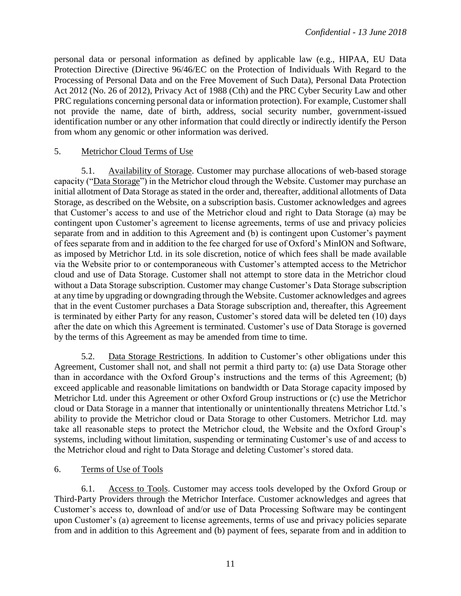personal data or personal information as defined by applicable law (e.g., HIPAA, EU Data Protection Directive (Directive 96/46/EC on the Protection of Individuals With Regard to the Processing of Personal Data and on the Free Movement of Such Data), Personal Data Protection Act 2012 (No. 26 of 2012), Privacy Act of 1988 (Cth) and the PRC Cyber Security Law and other PRC regulations concerning personal data or information protection). For example, Customer shall not provide the name, date of birth, address, social security number, government-issued identification number or any other information that could directly or indirectly identify the Person from whom any genomic or other information was derived.

### 5. Metrichor Cloud Terms of Use

5.1. Availability of Storage. Customer may purchase allocations of web-based storage capacity ("Data Storage") in the Metrichor cloud through the Website. Customer may purchase an initial allotment of Data Storage as stated in the order and, thereafter, additional allotments of Data Storage, as described on the Website, on a subscription basis. Customer acknowledges and agrees that Customer's access to and use of the Metrichor cloud and right to Data Storage (a) may be contingent upon Customer's agreement to license agreements, terms of use and privacy policies separate from and in addition to this Agreement and (b) is contingent upon Customer's payment of fees separate from and in addition to the fee charged for use of Oxford's MinION and Software, as imposed by Metrichor Ltd. in its sole discretion, notice of which fees shall be made available via the Website prior to or contemporaneous with Customer's attempted access to the Metrichor cloud and use of Data Storage. Customer shall not attempt to store data in the Metrichor cloud without a Data Storage subscription. Customer may change Customer's Data Storage subscription at any time by upgrading or downgrading through the Website. Customer acknowledges and agrees that in the event Customer purchases a Data Storage subscription and, thereafter, this Agreement is terminated by either Party for any reason, Customer's stored data will be deleted ten (10) days after the date on which this Agreement is terminated. Customer's use of Data Storage is governed by the terms of this Agreement as may be amended from time to time.

5.2. Data Storage Restrictions. In addition to Customer's other obligations under this Agreement, Customer shall not, and shall not permit a third party to: (a) use Data Storage other than in accordance with the Oxford Group's instructions and the terms of this Agreement; (b) exceed applicable and reasonable limitations on bandwidth or Data Storage capacity imposed by Metrichor Ltd. under this Agreement or other Oxford Group instructions or (c) use the Metrichor cloud or Data Storage in a manner that intentionally or unintentionally threatens Metrichor Ltd.'s ability to provide the Metrichor cloud or Data Storage to other Customers. Metrichor Ltd. may take all reasonable steps to protect the Metrichor cloud, the Website and the Oxford Group's systems, including without limitation, suspending or terminating Customer's use of and access to the Metrichor cloud and right to Data Storage and deleting Customer's stored data.

## 6. Terms of Use of Tools

6.1. Access to Tools. Customer may access tools developed by the Oxford Group or Third-Party Providers through the Metrichor Interface. Customer acknowledges and agrees that Customer's access to, download of and/or use of Data Processing Software may be contingent upon Customer's (a) agreement to license agreements, terms of use and privacy policies separate from and in addition to this Agreement and (b) payment of fees, separate from and in addition to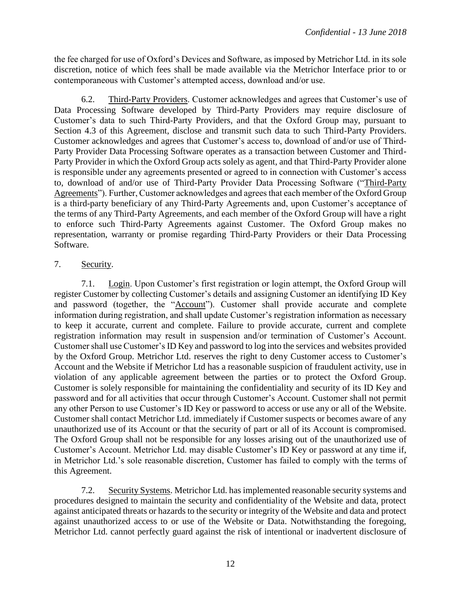the fee charged for use of Oxford's Devices and Software, as imposed by Metrichor Ltd. in its sole discretion, notice of which fees shall be made available via the Metrichor Interface prior to or contemporaneous with Customer's attempted access, download and/or use.

6.2. Third-Party Providers. Customer acknowledges and agrees that Customer's use of Data Processing Software developed by Third-Party Providers may require disclosure of Customer's data to such Third-Party Providers, and that the Oxford Group may, pursuant to Section 4.3 of this Agreement, disclose and transmit such data to such Third-Party Providers. Customer acknowledges and agrees that Customer's access to, download of and/or use of Third-Party Provider Data Processing Software operates as a transaction between Customer and Third-Party Provider in which the Oxford Group acts solely as agent, and that Third-Party Provider alone is responsible under any agreements presented or agreed to in connection with Customer's access to, download of and/or use of Third-Party Provider Data Processing Software ("Third-Party Agreements"). Further, Customer acknowledges and agrees that each member of the Oxford Group is a third-party beneficiary of any Third-Party Agreements and, upon Customer's acceptance of the terms of any Third-Party Agreements, and each member of the Oxford Group will have a right to enforce such Third-Party Agreements against Customer. The Oxford Group makes no representation, warranty or promise regarding Third-Party Providers or their Data Processing Software.

## 7. Security.

7.1. Login. Upon Customer's first registration or login attempt, the Oxford Group will register Customer by collecting Customer's details and assigning Customer an identifying ID Key and password (together, the "Account"). Customer shall provide accurate and complete information during registration, and shall update Customer's registration information as necessary to keep it accurate, current and complete. Failure to provide accurate, current and complete registration information may result in suspension and/or termination of Customer's Account. Customer shall use Customer's ID Key and password to log into the services and websites provided by the Oxford Group. Metrichor Ltd. reserves the right to deny Customer access to Customer's Account and the Website if Metrichor Ltd has a reasonable suspicion of fraudulent activity, use in violation of any applicable agreement between the parties or to protect the Oxford Group. Customer is solely responsible for maintaining the confidentiality and security of its ID Key and password and for all activities that occur through Customer's Account. Customer shall not permit any other Person to use Customer's ID Key or password to access or use any or all of the Website. Customer shall contact Metrichor Ltd. immediately if Customer suspects or becomes aware of any unauthorized use of its Account or that the security of part or all of its Account is compromised. The Oxford Group shall not be responsible for any losses arising out of the unauthorized use of Customer's Account. Metrichor Ltd. may disable Customer's ID Key or password at any time if, in Metrichor Ltd.'s sole reasonable discretion, Customer has failed to comply with the terms of this Agreement.

7.2. Security Systems. Metrichor Ltd. has implemented reasonable security systems and procedures designed to maintain the security and confidentiality of the Website and data, protect against anticipated threats or hazards to the security or integrity of the Website and data and protect against unauthorized access to or use of the Website or Data. Notwithstanding the foregoing, Metrichor Ltd. cannot perfectly guard against the risk of intentional or inadvertent disclosure of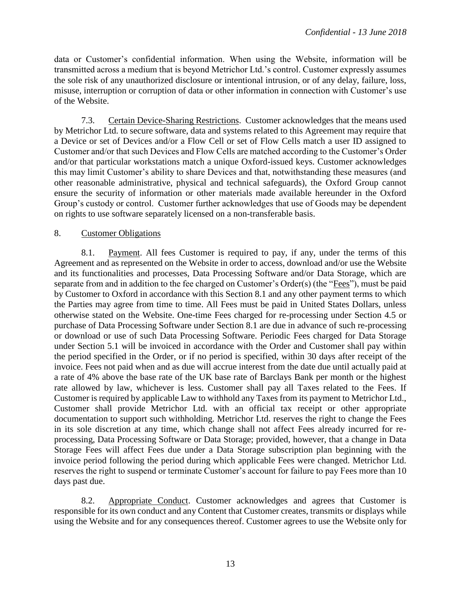data or Customer's confidential information. When using the Website, information will be transmitted across a medium that is beyond Metrichor Ltd.'s control. Customer expressly assumes the sole risk of any unauthorized disclosure or intentional intrusion, or of any delay, failure, loss, misuse, interruption or corruption of data or other information in connection with Customer's use of the Website.

7.3. Certain Device-Sharing Restrictions. Customer acknowledges that the means used by Metrichor Ltd. to secure software, data and systems related to this Agreement may require that a Device or set of Devices and/or a Flow Cell or set of Flow Cells match a user ID assigned to Customer and/or that such Devices and Flow Cells are matched according to the Customer's Order and/or that particular workstations match a unique Oxford-issued keys. Customer acknowledges this may limit Customer's ability to share Devices and that, notwithstanding these measures (and other reasonable administrative, physical and technical safeguards), the Oxford Group cannot ensure the security of information or other materials made available hereunder in the Oxford Group's custody or control. Customer further acknowledges that use of Goods may be dependent on rights to use software separately licensed on a non-transferable basis.

#### 8. Customer Obligations

8.1. Payment. All fees Customer is required to pay, if any, under the terms of this Agreement and as represented on the Website in order to access, download and/or use the Website and its functionalities and processes, Data Processing Software and/or Data Storage, which are separate from and in addition to the fee charged on Customer's Order(s) (the "Fees"), must be paid by Customer to Oxford in accordance with this Section 8.1 and any other payment terms to which the Parties may agree from time to time. All Fees must be paid in United States Dollars, unless otherwise stated on the Website. One-time Fees charged for re-processing under Section 4.5 or purchase of Data Processing Software under Section 8.1 are due in advance of such re-processing or download or use of such Data Processing Software. Periodic Fees charged for Data Storage under Section 5.1 will be invoiced in accordance with the Order and Customer shall pay within the period specified in the Order, or if no period is specified, within 30 days after receipt of the invoice. Fees not paid when and as due will accrue interest from the date due until actually paid at a rate of 4% above the base rate of the UK base rate of Barclays Bank per month or the highest rate allowed by law, whichever is less. Customer shall pay all Taxes related to the Fees. If Customer is required by applicable Law to withhold any Taxes from its payment to Metrichor Ltd., Customer shall provide Metrichor Ltd. with an official tax receipt or other appropriate documentation to support such withholding. Metrichor Ltd. reserves the right to change the Fees in its sole discretion at any time, which change shall not affect Fees already incurred for reprocessing, Data Processing Software or Data Storage; provided, however, that a change in Data Storage Fees will affect Fees due under a Data Storage subscription plan beginning with the invoice period following the period during which applicable Fees were changed. Metrichor Ltd. reserves the right to suspend or terminate Customer's account for failure to pay Fees more than 10 days past due.

8.2. Appropriate Conduct. Customer acknowledges and agrees that Customer is responsible for its own conduct and any Content that Customer creates, transmits or displays while using the Website and for any consequences thereof. Customer agrees to use the Website only for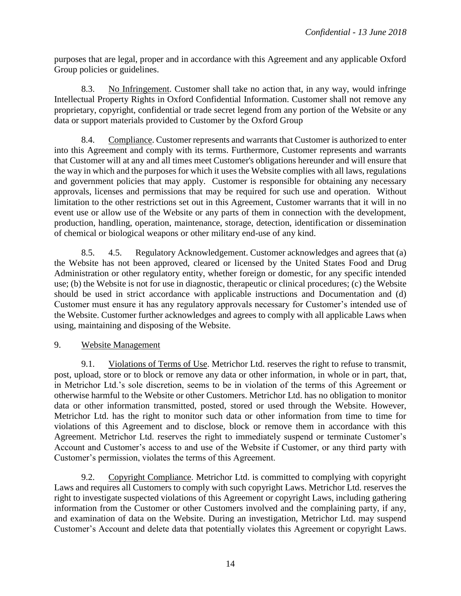purposes that are legal, proper and in accordance with this Agreement and any applicable Oxford Group policies or guidelines.

8.3. No Infringement. Customer shall take no action that, in any way, would infringe Intellectual Property Rights in Oxford Confidential Information. Customer shall not remove any proprietary, copyright, confidential or trade secret legend from any portion of the Website or any data or support materials provided to Customer by the Oxford Group

8.4. Compliance. Customer represents and warrants that Customer is authorized to enter into this Agreement and comply with its terms. Furthermore, Customer represents and warrants that Customer will at any and all times meet Customer's obligations hereunder and will ensure that the way in which and the purposes for which it uses the Website complies with all laws, regulations and government policies that may apply. Customer is responsible for obtaining any necessary approvals, licenses and permissions that may be required for such use and operation. Without limitation to the other restrictions set out in this Agreement, Customer warrants that it will in no event use or allow use of the Website or any parts of them in connection with the development, production, handling, operation, maintenance, storage, detection, identification or dissemination of chemical or biological weapons or other military end-use of any kind.

8.5. 4.5. Regulatory Acknowledgement. Customer acknowledges and agrees that (a) the Website has not been approved, cleared or licensed by the United States Food and Drug Administration or other regulatory entity, whether foreign or domestic, for any specific intended use; (b) the Website is not for use in diagnostic, therapeutic or clinical procedures; (c) the Website should be used in strict accordance with applicable instructions and Documentation and (d) Customer must ensure it has any regulatory approvals necessary for Customer's intended use of the Website. Customer further acknowledges and agrees to comply with all applicable Laws when using, maintaining and disposing of the Website.

## 9. Website Management

9.1. Violations of Terms of Use. Metrichor Ltd. reserves the right to refuse to transmit, post, upload, store or to block or remove any data or other information, in whole or in part, that, in Metrichor Ltd.'s sole discretion, seems to be in violation of the terms of this Agreement or otherwise harmful to the Website or other Customers. Metrichor Ltd. has no obligation to monitor data or other information transmitted, posted, stored or used through the Website. However, Metrichor Ltd. has the right to monitor such data or other information from time to time for violations of this Agreement and to disclose, block or remove them in accordance with this Agreement. Metrichor Ltd. reserves the right to immediately suspend or terminate Customer's Account and Customer's access to and use of the Website if Customer, or any third party with Customer's permission, violates the terms of this Agreement.

9.2. Copyright Compliance. Metrichor Ltd. is committed to complying with copyright Laws and requires all Customers to comply with such copyright Laws. Metrichor Ltd. reserves the right to investigate suspected violations of this Agreement or copyright Laws, including gathering information from the Customer or other Customers involved and the complaining party, if any, and examination of data on the Website. During an investigation, Metrichor Ltd. may suspend Customer's Account and delete data that potentially violates this Agreement or copyright Laws.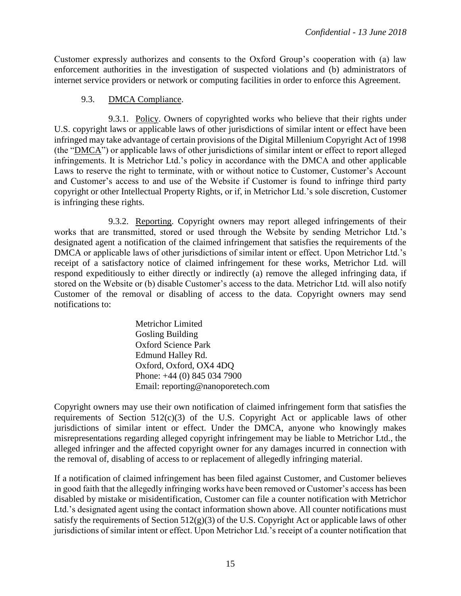Customer expressly authorizes and consents to the Oxford Group's cooperation with (a) law enforcement authorities in the investigation of suspected violations and (b) administrators of internet service providers or network or computing facilities in order to enforce this Agreement.

## 9.3. DMCA Compliance.

9.3.1. Policy. Owners of copyrighted works who believe that their rights under U.S. copyright laws or applicable laws of other jurisdictions of similar intent or effect have been infringed may take advantage of certain provisions of the Digital Millenium Copyright Act of 1998 (the "DMCA") or applicable laws of other jurisdictions of similar intent or effect to report alleged infringements. It is Metrichor Ltd.'s policy in accordance with the DMCA and other applicable Laws to reserve the right to terminate, with or without notice to Customer, Customer's Account and Customer's access to and use of the Website if Customer is found to infringe third party copyright or other Intellectual Property Rights, or if, in Metrichor Ltd.'s sole discretion, Customer is infringing these rights.

9.3.2. Reporting. Copyright owners may report alleged infringements of their works that are transmitted, stored or used through the Website by sending Metrichor Ltd.'s designated agent a notification of the claimed infringement that satisfies the requirements of the DMCA or applicable laws of other jurisdictions of similar intent or effect. Upon Metrichor Ltd.'s receipt of a satisfactory notice of claimed infringement for these works, Metrichor Ltd. will respond expeditiously to either directly or indirectly (a) remove the alleged infringing data, if stored on the Website or (b) disable Customer's access to the data. Metrichor Ltd. will also notify Customer of the removal or disabling of access to the data. Copyright owners may send notifications to:

> Metrichor Limited Gosling Building Oxford Science Park Edmund Halley Rd. Oxford, Oxford, OX4 4DQ Phone: +44 (0) 845 034 7900 Email: reporting@nanoporetech.com

Copyright owners may use their own notification of claimed infringement form that satisfies the requirements of Section  $512(c)(3)$  of the U.S. Copyright Act or applicable laws of other jurisdictions of similar intent or effect. Under the DMCA, anyone who knowingly makes misrepresentations regarding alleged copyright infringement may be liable to Metrichor Ltd., the alleged infringer and the affected copyright owner for any damages incurred in connection with the removal of, disabling of access to or replacement of allegedly infringing material.

If a notification of claimed infringement has been filed against Customer, and Customer believes in good faith that the allegedly infringing works have been removed or Customer's access has been disabled by mistake or misidentification, Customer can file a counter notification with Metrichor Ltd.'s designated agent using the contact information shown above. All counter notifications must satisfy the requirements of Section  $512(g)(3)$  of the U.S. Copyright Act or applicable laws of other jurisdictions of similar intent or effect. Upon Metrichor Ltd.'s receipt of a counter notification that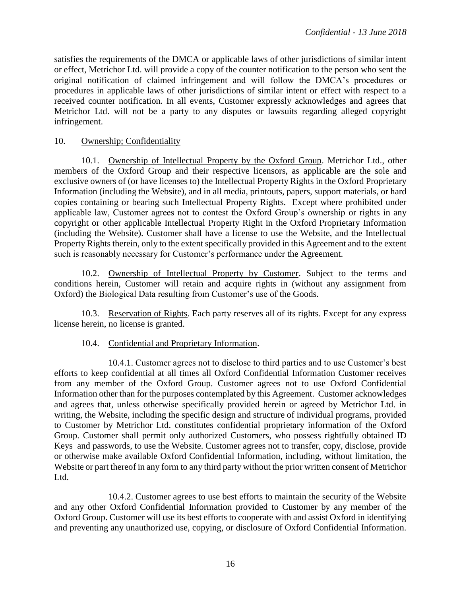satisfies the requirements of the DMCA or applicable laws of other jurisdictions of similar intent or effect, Metrichor Ltd. will provide a copy of the counter notification to the person who sent the original notification of claimed infringement and will follow the DMCA's procedures or procedures in applicable laws of other jurisdictions of similar intent or effect with respect to a received counter notification. In all events, Customer expressly acknowledges and agrees that Metrichor Ltd. will not be a party to any disputes or lawsuits regarding alleged copyright infringement.

#### 10. Ownership; Confidentiality

10.1. Ownership of Intellectual Property by the Oxford Group. Metrichor Ltd., other members of the Oxford Group and their respective licensors, as applicable are the sole and exclusive owners of (or have licenses to) the Intellectual Property Rights in the Oxford Proprietary Information (including the Website), and in all media, printouts, papers, support materials, or hard copies containing or bearing such Intellectual Property Rights. Except where prohibited under applicable law, Customer agrees not to contest the Oxford Group's ownership or rights in any copyright or other applicable Intellectual Property Right in the Oxford Proprietary Information (including the Website). Customer shall have a license to use the Website, and the Intellectual Property Rights therein, only to the extent specifically provided in this Agreement and to the extent such is reasonably necessary for Customer's performance under the Agreement.

10.2. Ownership of Intellectual Property by Customer. Subject to the terms and conditions herein, Customer will retain and acquire rights in (without any assignment from Oxford) the Biological Data resulting from Customer's use of the Goods.

10.3. Reservation of Rights. Each party reserves all of its rights. Except for any express license herein, no license is granted.

#### 10.4. Confidential and Proprietary Information.

10.4.1. Customer agrees not to disclose to third parties and to use Customer's best efforts to keep confidential at all times all Oxford Confidential Information Customer receives from any member of the Oxford Group. Customer agrees not to use Oxford Confidential Information other than for the purposes contemplated by this Agreement. Customer acknowledges and agrees that, unless otherwise specifically provided herein or agreed by Metrichor Ltd. in writing, the Website, including the specific design and structure of individual programs, provided to Customer by Metrichor Ltd. constitutes confidential proprietary information of the Oxford Group. Customer shall permit only authorized Customers, who possess rightfully obtained ID Keys and passwords, to use the Website. Customer agrees not to transfer, copy, disclose, provide or otherwise make available Oxford Confidential Information, including, without limitation, the Website or part thereof in any form to any third party without the prior written consent of Metrichor Ltd.

10.4.2. Customer agrees to use best efforts to maintain the security of the Website and any other Oxford Confidential Information provided to Customer by any member of the Oxford Group. Customer will use its best efforts to cooperate with and assist Oxford in identifying and preventing any unauthorized use, copying, or disclosure of Oxford Confidential Information.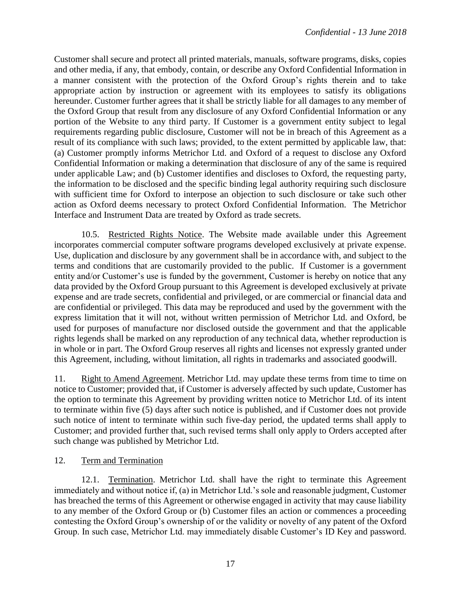Customer shall secure and protect all printed materials, manuals, software programs, disks, copies and other media, if any, that embody, contain, or describe any Oxford Confidential Information in a manner consistent with the protection of the Oxford Group's rights therein and to take appropriate action by instruction or agreement with its employees to satisfy its obligations hereunder. Customer further agrees that it shall be strictly liable for all damages to any member of the Oxford Group that result from any disclosure of any Oxford Confidential Information or any portion of the Website to any third party. If Customer is a government entity subject to legal requirements regarding public disclosure, Customer will not be in breach of this Agreement as a result of its compliance with such laws; provided, to the extent permitted by applicable law, that: (a) Customer promptly informs Metrichor Ltd. and Oxford of a request to disclose any Oxford Confidential Information or making a determination that disclosure of any of the same is required under applicable Law; and (b) Customer identifies and discloses to Oxford, the requesting party, the information to be disclosed and the specific binding legal authority requiring such disclosure with sufficient time for Oxford to interpose an objection to such disclosure or take such other action as Oxford deems necessary to protect Oxford Confidential Information. The Metrichor Interface and Instrument Data are treated by Oxford as trade secrets.

10.5. Restricted Rights Notice. The Website made available under this Agreement incorporates commercial computer software programs developed exclusively at private expense. Use, duplication and disclosure by any government shall be in accordance with, and subject to the terms and conditions that are customarily provided to the public. If Customer is a government entity and/or Customer's use is funded by the government, Customer is hereby on notice that any data provided by the Oxford Group pursuant to this Agreement is developed exclusively at private expense and are trade secrets, confidential and privileged, or are commercial or financial data and are confidential or privileged. This data may be reproduced and used by the government with the express limitation that it will not, without written permission of Metrichor Ltd. and Oxford, be used for purposes of manufacture nor disclosed outside the government and that the applicable rights legends shall be marked on any reproduction of any technical data, whether reproduction is in whole or in part. The Oxford Group reserves all rights and licenses not expressly granted under this Agreement, including, without limitation, all rights in trademarks and associated goodwill.

11. Right to Amend Agreement. Metrichor Ltd. may update these terms from time to time on notice to Customer; provided that, if Customer is adversely affected by such update, Customer has the option to terminate this Agreement by providing written notice to Metrichor Ltd. of its intent to terminate within five (5) days after such notice is published, and if Customer does not provide such notice of intent to terminate within such five-day period, the updated terms shall apply to Customer; and provided further that, such revised terms shall only apply to Orders accepted after such change was published by Metrichor Ltd.

## 12. Term and Termination

12.1. Termination. Metrichor Ltd. shall have the right to terminate this Agreement immediately and without notice if, (a) in Metrichor Ltd.'s sole and reasonable judgment, Customer has breached the terms of this Agreement or otherwise engaged in activity that may cause liability to any member of the Oxford Group or (b) Customer files an action or commences a proceeding contesting the Oxford Group's ownership of or the validity or novelty of any patent of the Oxford Group. In such case, Metrichor Ltd. may immediately disable Customer's ID Key and password.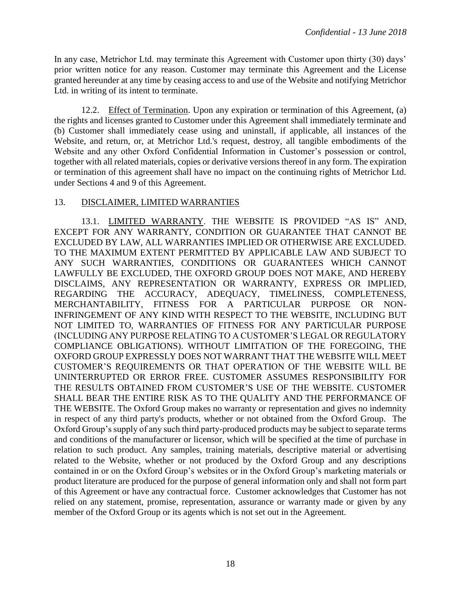In any case, Metrichor Ltd. may terminate this Agreement with Customer upon thirty (30) days' prior written notice for any reason. Customer may terminate this Agreement and the License granted hereunder at any time by ceasing access to and use of the Website and notifying Metrichor Ltd. in writing of its intent to terminate.

12.2. Effect of Termination. Upon any expiration or termination of this Agreement, (a) the rights and licenses granted to Customer under this Agreement shall immediately terminate and (b) Customer shall immediately cease using and uninstall, if applicable, all instances of the Website, and return, or, at Metrichor Ltd.'s request, destroy, all tangible embodiments of the Website and any other Oxford Confidential Information in Customer's possession or control, together with all related materials, copies or derivative versions thereof in any form. The expiration or termination of this agreement shall have no impact on the continuing rights of Metrichor Ltd. under Sections 4 and 9 of this Agreement.

#### 13. DISCLAIMER, LIMITED WARRANTIES

13.1. LIMITED WARRANTY. THE WEBSITE IS PROVIDED "AS IS" AND, EXCEPT FOR ANY WARRANTY, CONDITION OR GUARANTEE THAT CANNOT BE EXCLUDED BY LAW, ALL WARRANTIES IMPLIED OR OTHERWISE ARE EXCLUDED. TO THE MAXIMUM EXTENT PERMITTED BY APPLICABLE LAW AND SUBJECT TO ANY SUCH WARRANTIES, CONDITIONS OR GUARANTEES WHICH CANNOT LAWFULLY BE EXCLUDED, THE OXFORD GROUP DOES NOT MAKE, AND HEREBY DISCLAIMS, ANY REPRESENTATION OR WARRANTY, EXPRESS OR IMPLIED, REGARDING THE ACCURACY, ADEQUACY, TIMELINESS, COMPLETENESS, MERCHANTABILITY, FITNESS FOR A PARTICULAR PURPOSE OR NON-INFRINGEMENT OF ANY KIND WITH RESPECT TO THE WEBSITE, INCLUDING BUT NOT LIMITED TO, WARRANTIES OF FITNESS FOR ANY PARTICULAR PURPOSE (INCLUDING ANY PURPOSE RELATING TO A CUSTOMER'S LEGAL OR REGULATORY COMPLIANCE OBLIGATIONS). WITHOUT LIMITATION OF THE FOREGOING, THE OXFORD GROUP EXPRESSLY DOES NOT WARRANT THAT THE WEBSITE WILL MEET CUSTOMER'S REQUIREMENTS OR THAT OPERATION OF THE WEBSITE WILL BE UNINTERRUPTED OR ERROR FREE. CUSTOMER ASSUMES RESPONSIBILITY FOR THE RESULTS OBTAINED FROM CUSTOMER'S USE OF THE WEBSITE. CUSTOMER SHALL BEAR THE ENTIRE RISK AS TO THE QUALITY AND THE PERFORMANCE OF THE WEBSITE. The Oxford Group makes no warranty or representation and gives no indemnity in respect of any third party's products, whether or not obtained from the Oxford Group. The Oxford Group's supply of any such third party-produced products may be subject to separate terms and conditions of the manufacturer or licensor, which will be specified at the time of purchase in relation to such product. Any samples, training materials, descriptive material or advertising related to the Website, whether or not produced by the Oxford Group and any descriptions contained in or on the Oxford Group's websites or in the Oxford Group's marketing materials or product literature are produced for the purpose of general information only and shall not form part of this Agreement or have any contractual force. Customer acknowledges that Customer has not relied on any statement, promise, representation, assurance or warranty made or given by any member of the Oxford Group or its agents which is not set out in the Agreement.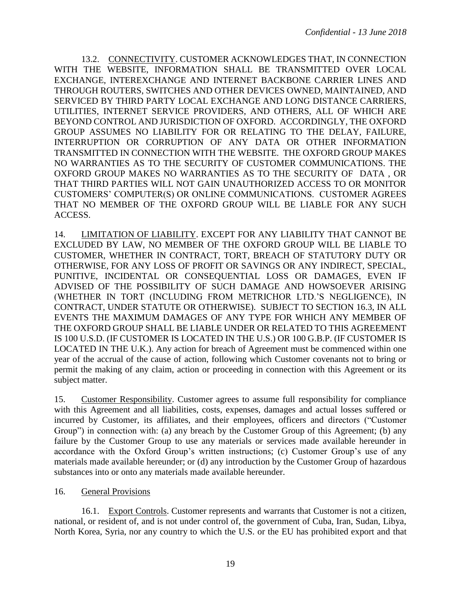13.2. CONNECTIVITY. CUSTOMER ACKNOWLEDGES THAT, IN CONNECTION WITH THE WEBSITE, INFORMATION SHALL BE TRANSMITTED OVER LOCAL EXCHANGE, INTEREXCHANGE AND INTERNET BACKBONE CARRIER LINES AND THROUGH ROUTERS, SWITCHES AND OTHER DEVICES OWNED, MAINTAINED, AND SERVICED BY THIRD PARTY LOCAL EXCHANGE AND LONG DISTANCE CARRIERS, UTILITIES, INTERNET SERVICE PROVIDERS, AND OTHERS, ALL OF WHICH ARE BEYOND CONTROL AND JURISDICTION OF OXFORD. ACCORDINGLY, THE OXFORD GROUP ASSUMES NO LIABILITY FOR OR RELATING TO THE DELAY, FAILURE, INTERRUPTION OR CORRUPTION OF ANY DATA OR OTHER INFORMATION TRANSMITTED IN CONNECTION WITH THE WEBSITE. THE OXFORD GROUP MAKES NO WARRANTIES AS TO THE SECURITY OF CUSTOMER COMMUNICATIONS. THE OXFORD GROUP MAKES NO WARRANTIES AS TO THE SECURITY OF DATA , OR THAT THIRD PARTIES WILL NOT GAIN UNAUTHORIZED ACCESS TO OR MONITOR CUSTOMERS' COMPUTER(S) OR ONLINE COMMUNICATIONS. CUSTOMER AGREES THAT NO MEMBER OF THE OXFORD GROUP WILL BE LIABLE FOR ANY SUCH ACCESS.

14. LIMITATION OF LIABILITY. EXCEPT FOR ANY LIABILITY THAT CANNOT BE EXCLUDED BY LAW, NO MEMBER OF THE OXFORD GROUP WILL BE LIABLE TO CUSTOMER, WHETHER IN CONTRACT, TORT, BREACH OF STATUTORY DUTY OR OTHERWISE, FOR ANY LOSS OF PROFIT OR SAVINGS OR ANY INDIRECT, SPECIAL, PUNITIVE, INCIDENTAL OR CONSEQUENTIAL LOSS OR DAMAGES, EVEN IF ADVISED OF THE POSSIBILITY OF SUCH DAMAGE AND HOWSOEVER ARISING (WHETHER IN TORT (INCLUDING FROM METRICHOR LTD.'S NEGLIGENCE), IN CONTRACT, UNDER STATUTE OR OTHERWISE). SUBJECT TO SECTION 16.3, IN ALL EVENTS THE MAXIMUM DAMAGES OF ANY TYPE FOR WHICH ANY MEMBER OF THE OXFORD GROUP SHALL BE LIABLE UNDER OR RELATED TO THIS AGREEMENT IS 100 U.S.D. (IF CUSTOMER IS LOCATED IN THE U.S.) OR 100 G.B.P. (IF CUSTOMER IS LOCATED IN THE U.K.). Any action for breach of Agreement must be commenced within one year of the accrual of the cause of action, following which Customer covenants not to bring or permit the making of any claim, action or proceeding in connection with this Agreement or its subject matter.

15. Customer Responsibility. Customer agrees to assume full responsibility for compliance with this Agreement and all liabilities, costs, expenses, damages and actual losses suffered or incurred by Customer, its affiliates, and their employees, officers and directors ("Customer Group") in connection with: (a) any breach by the Customer Group of this Agreement; (b) any failure by the Customer Group to use any materials or services made available hereunder in accordance with the Oxford Group's written instructions; (c) Customer Group's use of any materials made available hereunder; or (d) any introduction by the Customer Group of hazardous substances into or onto any materials made available hereunder.

## 16. General Provisions

16.1. Export Controls. Customer represents and warrants that Customer is not a citizen, national, or resident of, and is not under control of, the government of Cuba, Iran, Sudan, Libya, North Korea, Syria, nor any country to which the U.S. or the EU has prohibited export and that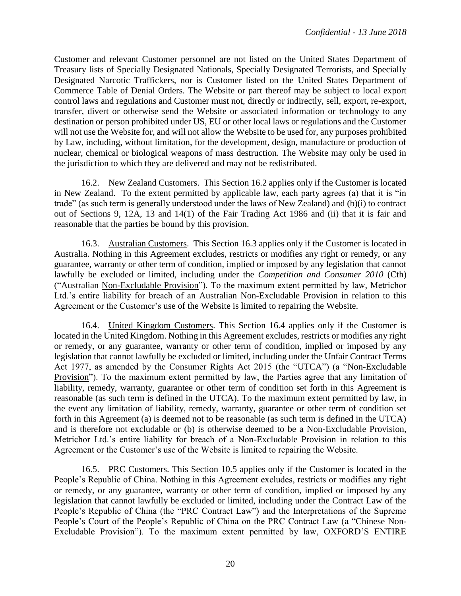Customer and relevant Customer personnel are not listed on the United States Department of Treasury lists of Specially Designated Nationals, Specially Designated Terrorists, and Specially Designated Narcotic Traffickers, nor is Customer listed on the United States Department of Commerce Table of Denial Orders. The Website or part thereof may be subject to local export control laws and regulations and Customer must not, directly or indirectly, sell, export, re-export, transfer, divert or otherwise send the Website or associated information or technology to any destination or person prohibited under US, EU or other local laws or regulations and the Customer will not use the Website for, and will not allow the Website to be used for, any purposes prohibited by Law, including, without limitation, for the development, design, manufacture or production of nuclear, chemical or biological weapons of mass destruction. The Website may only be used in the jurisdiction to which they are delivered and may not be redistributed.

16.2. New Zealand Customers. This Section 16.2 applies only if the Customer is located in New Zealand. To the extent permitted by applicable law, each party agrees (a) that it is "in trade" (as such term is generally understood under the laws of New Zealand) and (b)(i) to contract out of Sections 9, 12A, 13 and 14(1) of the Fair Trading Act 1986 and (ii) that it is fair and reasonable that the parties be bound by this provision.

16.3. Australian Customers. This Section 16.3 applies only if the Customer is located in Australia. Nothing in this Agreement excludes, restricts or modifies any right or remedy, or any guarantee, warranty or other term of condition, implied or imposed by any legislation that cannot lawfully be excluded or limited, including under the *Competition and Consumer 2010* (Cth) ("Australian Non-Excludable Provision"). To the maximum extent permitted by law, Metrichor Ltd.'s entire liability for breach of an Australian Non-Excludable Provision in relation to this Agreement or the Customer's use of the Website is limited to repairing the Website.

16.4. United Kingdom Customers. This Section 16.4 applies only if the Customer is located in the United Kingdom. Nothing in this Agreement excludes, restricts or modifies any right or remedy, or any guarantee, warranty or other term of condition, implied or imposed by any legislation that cannot lawfully be excluded or limited, including under the Unfair Contract Terms Act 1977, as amended by the Consumer Rights Act 2015 (the "UTCA") (a "Non-Excludable Provision"). To the maximum extent permitted by law, the Parties agree that any limitation of liability, remedy, warranty, guarantee or other term of condition set forth in this Agreement is reasonable (as such term is defined in the UTCA). To the maximum extent permitted by law, in the event any limitation of liability, remedy, warranty, guarantee or other term of condition set forth in this Agreement (a) is deemed not to be reasonable (as such term is defined in the UTCA) and is therefore not excludable or (b) is otherwise deemed to be a Non-Excludable Provision, Metrichor Ltd.'s entire liability for breach of a Non-Excludable Provision in relation to this Agreement or the Customer's use of the Website is limited to repairing the Website.

16.5. PRC Customers. This Section 10.5 applies only if the Customer is located in the People's Republic of China. Nothing in this Agreement excludes, restricts or modifies any right or remedy, or any guarantee, warranty or other term of condition, implied or imposed by any legislation that cannot lawfully be excluded or limited, including under the Contract Law of the People's Republic of China (the "PRC Contract Law") and the Interpretations of the Supreme People's Court of the People's Republic of China on the PRC Contract Law (a "Chinese Non-Excludable Provision"). To the maximum extent permitted by law, OXFORD'S ENTIRE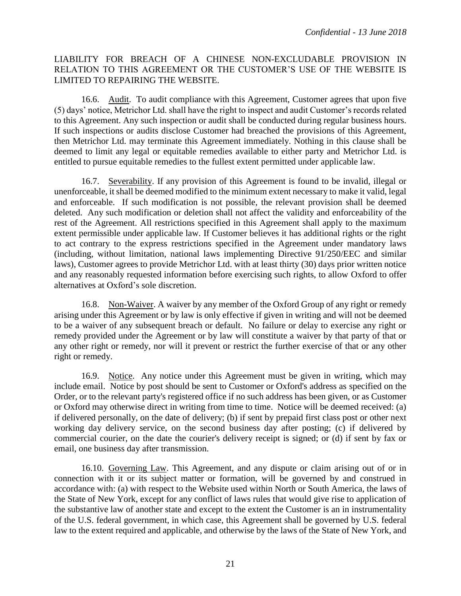## LIABILITY FOR BREACH OF A CHINESE NON-EXCLUDABLE PROVISION IN RELATION TO THIS AGREEMENT OR THE CUSTOMER'S USE OF THE WEBSITE IS LIMITED TO REPAIRING THE WEBSITE.

16.6. Audit. To audit compliance with this Agreement, Customer agrees that upon five (5) days' notice, Metrichor Ltd. shall have the right to inspect and audit Customer's records related to this Agreement. Any such inspection or audit shall be conducted during regular business hours. If such inspections or audits disclose Customer had breached the provisions of this Agreement, then Metrichor Ltd. may terminate this Agreement immediately. Nothing in this clause shall be deemed to limit any legal or equitable remedies available to either party and Metrichor Ltd. is entitled to pursue equitable remedies to the fullest extent permitted under applicable law.

16.7. Severability. If any provision of this Agreement is found to be invalid, illegal or unenforceable, it shall be deemed modified to the minimum extent necessary to make it valid, legal and enforceable. If such modification is not possible, the relevant provision shall be deemed deleted. Any such modification or deletion shall not affect the validity and enforceability of the rest of the Agreement. All restrictions specified in this Agreement shall apply to the maximum extent permissible under applicable law. If Customer believes it has additional rights or the right to act contrary to the express restrictions specified in the Agreement under mandatory laws (including, without limitation, national laws implementing Directive 91/250/EEC and similar laws), Customer agrees to provide Metrichor Ltd. with at least thirty (30) days prior written notice and any reasonably requested information before exercising such rights, to allow Oxford to offer alternatives at Oxford's sole discretion.

16.8. Non-Waiver. A waiver by any member of the Oxford Group of any right or remedy arising under this Agreement or by law is only effective if given in writing and will not be deemed to be a waiver of any subsequent breach or default. No failure or delay to exercise any right or remedy provided under the Agreement or by law will constitute a waiver by that party of that or any other right or remedy, nor will it prevent or restrict the further exercise of that or any other right or remedy.

16.9. Notice. Any notice under this Agreement must be given in writing, which may include email. Notice by post should be sent to Customer or Oxford's address as specified on the Order, or to the relevant party's registered office if no such address has been given, or as Customer or Oxford may otherwise direct in writing from time to time. Notice will be deemed received: (a) if delivered personally, on the date of delivery; (b) if sent by prepaid first class post or other next working day delivery service, on the second business day after posting; (c) if delivered by commercial courier, on the date the courier's delivery receipt is signed; or (d) if sent by fax or email, one business day after transmission.

16.10. Governing Law. This Agreement, and any dispute or claim arising out of or in connection with it or its subject matter or formation, will be governed by and construed in accordance with: (a) with respect to the Website used within North or South America, the laws of the State of New York, except for any conflict of laws rules that would give rise to application of the substantive law of another state and except to the extent the Customer is an in instrumentality of the U.S. federal government, in which case, this Agreement shall be governed by U.S. federal law to the extent required and applicable, and otherwise by the laws of the State of New York, and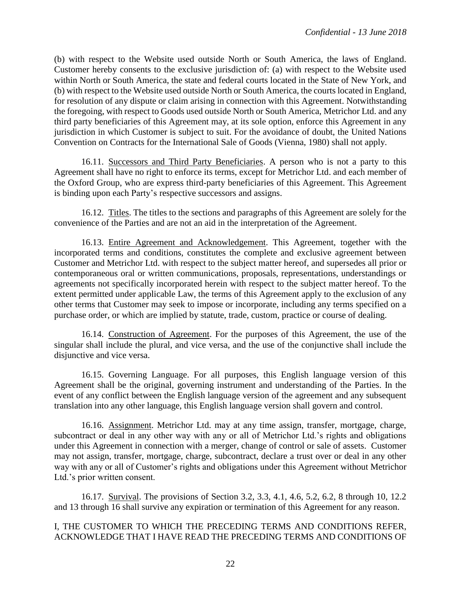(b) with respect to the Website used outside North or South America, the laws of England. Customer hereby consents to the exclusive jurisdiction of: (a) with respect to the Website used within North or South America, the state and federal courts located in the State of New York, and (b) with respect to the Website used outside North or South America, the courts located in England, for resolution of any dispute or claim arising in connection with this Agreement. Notwithstanding the foregoing, with respect to Goods used outside North or South America, Metrichor Ltd. and any third party beneficiaries of this Agreement may, at its sole option, enforce this Agreement in any jurisdiction in which Customer is subject to suit. For the avoidance of doubt, the United Nations Convention on Contracts for the International Sale of Goods (Vienna, 1980) shall not apply.

16.11. Successors and Third Party Beneficiaries. A person who is not a party to this Agreement shall have no right to enforce its terms, except for Metrichor Ltd. and each member of the Oxford Group, who are express third-party beneficiaries of this Agreement. This Agreement is binding upon each Party's respective successors and assigns.

16.12. Titles. The titles to the sections and paragraphs of this Agreement are solely for the convenience of the Parties and are not an aid in the interpretation of the Agreement.

16.13. Entire Agreement and Acknowledgement. This Agreement, together with the incorporated terms and conditions, constitutes the complete and exclusive agreement between Customer and Metrichor Ltd. with respect to the subject matter hereof, and supersedes all prior or contemporaneous oral or written communications, proposals, representations, understandings or agreements not specifically incorporated herein with respect to the subject matter hereof. To the extent permitted under applicable Law, the terms of this Agreement apply to the exclusion of any other terms that Customer may seek to impose or incorporate, including any terms specified on a purchase order, or which are implied by statute, trade, custom, practice or course of dealing.

16.14. Construction of Agreement. For the purposes of this Agreement, the use of the singular shall include the plural, and vice versa, and the use of the conjunctive shall include the disjunctive and vice versa.

16.15. Governing Language. For all purposes, this English language version of this Agreement shall be the original, governing instrument and understanding of the Parties. In the event of any conflict between the English language version of the agreement and any subsequent translation into any other language, this English language version shall govern and control.

16.16. Assignment. Metrichor Ltd. may at any time assign, transfer, mortgage, charge, subcontract or deal in any other way with any or all of Metrichor Ltd.'s rights and obligations under this Agreement in connection with a merger, change of control or sale of assets. Customer may not assign, transfer, mortgage, charge, subcontract, declare a trust over or deal in any other way with any or all of Customer's rights and obligations under this Agreement without Metrichor Ltd.'s prior written consent.

16.17. Survival. The provisions of Section 3.2, 3.3, 4.1, 4.6, 5.2, 6.2, 8 through 10, 12.2 and 13 through 16 shall survive any expiration or termination of this Agreement for any reason.

#### I, THE CUSTOMER TO WHICH THE PRECEDING TERMS AND CONDITIONS REFER, ACKNOWLEDGE THAT I HAVE READ THE PRECEDING TERMS AND CONDITIONS OF